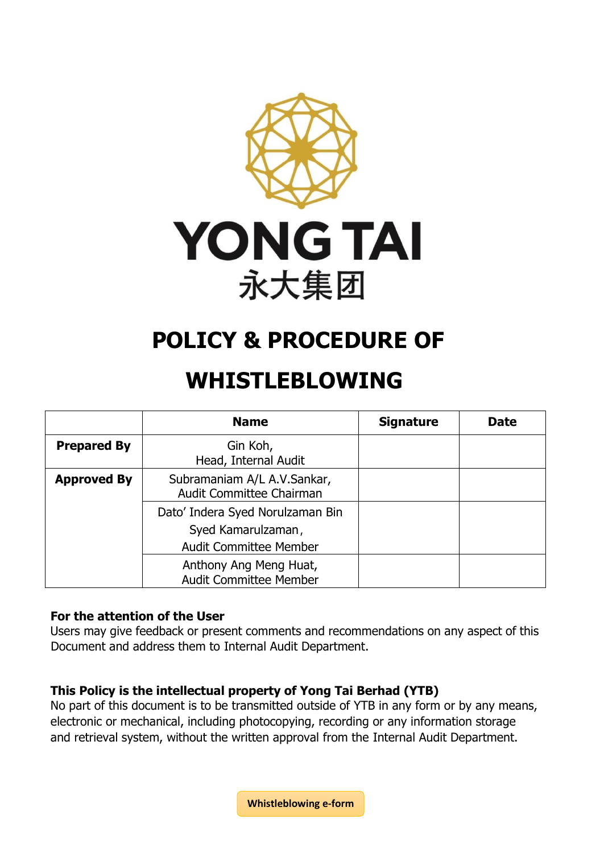

# **POLICY & PROCEDURE OF**

# **WHISTLEBLOWING**

|                    | <b>Name</b>                                                                             | <b>Signature</b> | <b>Date</b> |
|--------------------|-----------------------------------------------------------------------------------------|------------------|-------------|
| <b>Prepared By</b> | Gin Koh,<br>Head, Internal Audit                                                        |                  |             |
| <b>Approved By</b> | Subramaniam A/L A.V.Sankar,<br>Audit Committee Chairman                                 |                  |             |
|                    | Dato' Indera Syed Norulzaman Bin<br>Syed Kamarulzaman,<br><b>Audit Committee Member</b> |                  |             |
|                    | Anthony Ang Meng Huat,<br><b>Audit Committee Member</b>                                 |                  |             |

#### **For the attention of the User**

Users may give feedback or present comments and recommendations on any aspect of this Document and address them to Internal Audit Department.

#### **This Policy is the intellectual property of Yong Tai Berhad (YTB)**

No part of this document is to be transmitted outside of YTB in any form or by any means, electronic or mechanical, including photocopying, recording or any information storage and retrieval system, without the written approval from the Internal Audit Department.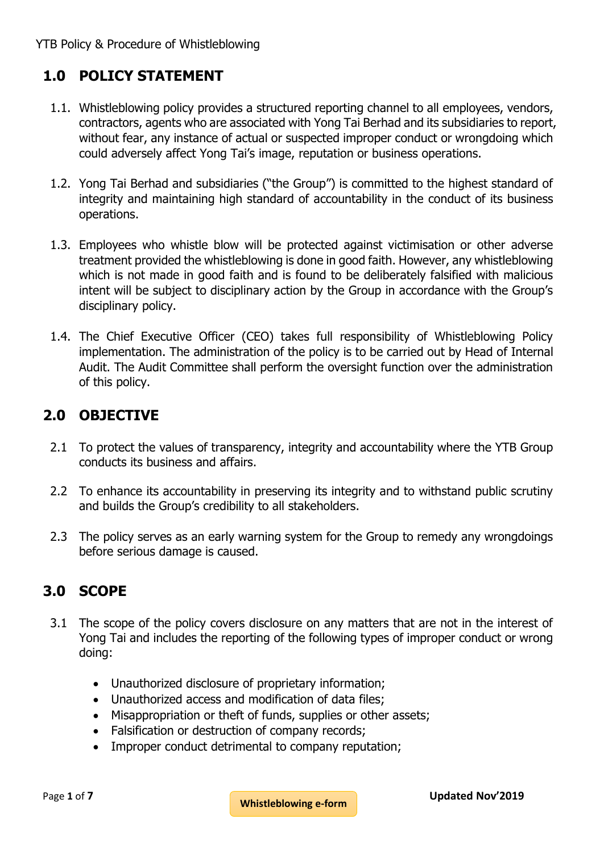# **1.0 POLICY STATEMENT**

- 1.1. Whistleblowing policy provides a structured reporting channel to all employees, vendors, contractors, agents who are associated with Yong Tai Berhad and its subsidiaries to report, without fear, any instance of actual or suspected improper conduct or wrongdoing which could adversely affect Yong Tai's image, reputation or business operations.
- 1.2. Yong Tai Berhad and subsidiaries ("the Group") is committed to the highest standard of integrity and maintaining high standard of accountability in the conduct of its business operations.
- 1.3. Employees who whistle blow will be protected against victimisation or other adverse treatment provided the whistleblowing is done in good faith. However, any whistleblowing which is not made in good faith and is found to be deliberately falsified with malicious intent will be subject to disciplinary action by the Group in accordance with the Group's disciplinary policy.
- 1.4. The Chief Executive Officer (CEO) takes full responsibility of Whistleblowing Policy implementation. The administration of the policy is to be carried out by Head of Internal Audit. The Audit Committee shall perform the oversight function over the administration of this policy.

# **2.0 OBJECTIVE**

- 2.1 To protect the values of transparency, integrity and accountability where the YTB Group conducts its business and affairs.
- 2.2 To enhance its accountability in preserving its integrity and to withstand public scrutiny and builds the Group's credibility to all stakeholders.
- 2.3 The policy serves as an early warning system for the Group to remedy any wrongdoings before serious damage is caused.

# **3.0 SCOPE**

- 3.1 The scope of the policy covers disclosure on any matters that are not in the interest of Yong Tai and includes the reporting of the following types of improper conduct or wrong doing:
	- Unauthorized disclosure of proprietary information;
	- Unauthorized access and modification of data files;
	- Misappropriation or theft of funds, supplies or other assets;
	- Falsification or destruction of company records;
	- Improper conduct detrimental to company reputation;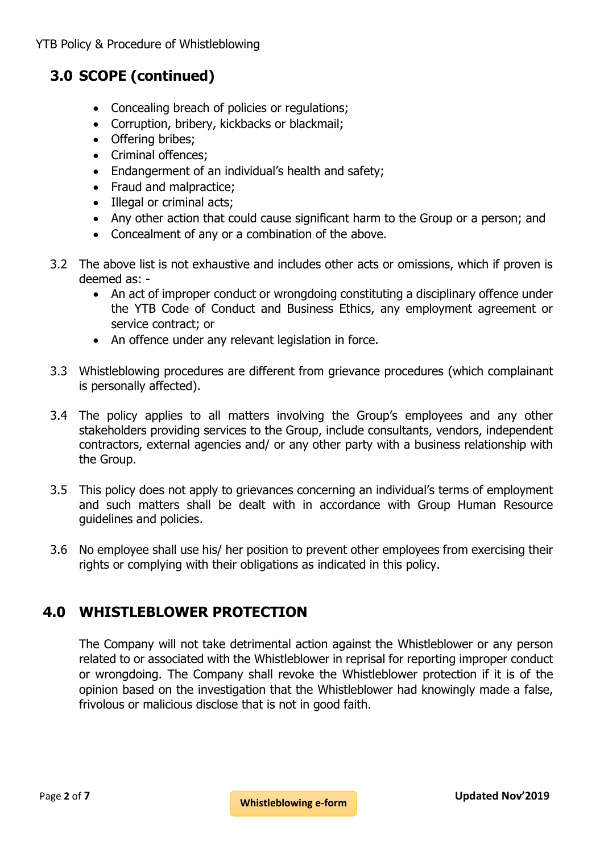# **3.0 SCOPE (continued)**

- Concealing breach of policies or regulations;
- Corruption, bribery, kickbacks or blackmail;
- Offering bribes:
- Criminal offences;
- Endangerment of an individual's health and safety;
- Fraud and malpractice;
- Illegal or criminal acts;
- Any other action that could cause significant harm to the Group or a person; and
- Concealment of any or a combination of the above.
- 3.2 The above list is not exhaustive and includes other acts or omissions, which if proven is deemed as: -
	- An act of improper conduct or wrongdoing constituting a disciplinary offence under the YTB Code of Conduct and Business Ethics, any employment agreement or service contract; or
	- An offence under any relevant legislation in force.
- 3.3 Whistleblowing procedures are different from grievance procedures (which complainant is personally affected).
- 3.4 The policy applies to all matters involving the Group's employees and any other stakeholders providing services to the Group, include consultants, vendors, independent contractors, external agencies and/ or any other party with a business relationship with the Group.
- 3.5 This policy does not apply to grievances concerning an individual's terms of employment and such matters shall be dealt with in accordance with Group Human Resource guidelines and policies.
- 3.6 No employee shall use his/ her position to prevent other employees from exercising their rights or complying with their obligations as indicated in this policy.

# **4.0 WHISTLEBLOWER PROTECTION**

The Company will not take detrimental action against the Whistleblower or any person related to or associated with the Whistleblower in reprisal for reporting improper conduct or wrongdoing. The Company shall revoke the Whistleblower protection if it is of the opinion based on the investigation that the Whistleblower had knowingly made a false, frivolous or malicious disclose that is not in good faith.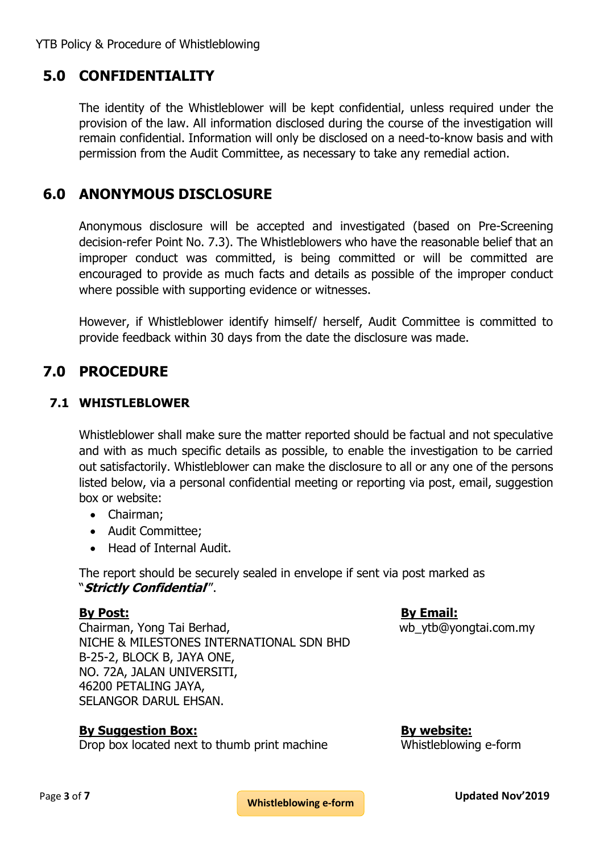YTB Policy & Procedure of Whistleblowing

# **5.0 CONFIDENTIALITY**

The identity of the Whistleblower will be kept confidential, unless required under the provision of the law. All information disclosed during the course of the investigation will remain confidential. Information will only be disclosed on a need-to-know basis and with permission from the Audit Committee, as necessary to take any remedial action.

# **6.0 ANONYMOUS DISCLOSURE**

Anonymous disclosure will be accepted and investigated (based on Pre-Screening decision-refer Point No. 7.3). The Whistleblowers who have the reasonable belief that an improper conduct was committed, is being committed or will be committed are encouraged to provide as much facts and details as possible of the improper conduct where possible with supporting evidence or witnesses.

However, if Whistleblower identify himself/ herself, Audit Committee is committed to provide feedback within 30 days from the date the disclosure was made.

# **7.0 PROCEDURE**

#### **7.1 WHISTLEBLOWER**

Whistleblower shall make sure the matter reported should be factual and not speculative and with as much specific details as possible, to enable the investigation to be carried out satisfactorily. Whistleblower can make the disclosure to all or any one of the persons listed below, via a personal confidential meeting or reporting via post, email, suggestion box or website:

- Chairman;
- Audit Committee;
- Head of Internal Audit.

The report should be securely sealed in envelope if sent via post marked as "**Strictly Confidential**'".

Chairman, Yong Tai Berhad, when the wave wb ytb@yongtai.com.my NICHE & MILESTONES INTERNATIONAL SDN BHD B-25-2, BLOCK B, JAYA ONE, NO. 72A, JALAN UNIVERSITI, 46200 PETALING JAYA, SELANGOR DARUL EHSAN.

**By Post: By Email:**

**By Suggestion Box: By website:**

Drop box located next to thumb print machine Whistleblowing e-form

**Whistleblowing e-form**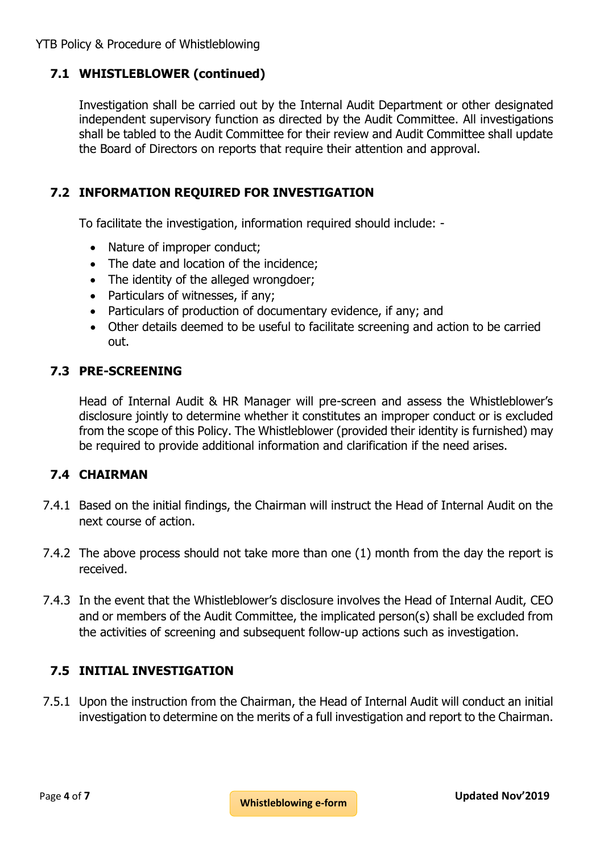### **7.1 WHISTLEBLOWER (continued)**

Investigation shall be carried out by the Internal Audit Department or other designated independent supervisory function as directed by the Audit Committee. All investigations shall be tabled to the Audit Committee for their review and Audit Committee shall update the Board of Directors on reports that require their attention and approval.

#### **7.2 INFORMATION REQUIRED FOR INVESTIGATION**

To facilitate the investigation, information required should include: -

- Nature of improper conduct;
- The date and location of the incidence;
- The identity of the alleged wrongdoer;
- Particulars of witnesses, if any;
- Particulars of production of documentary evidence, if any; and
- Other details deemed to be useful to facilitate screening and action to be carried out.

#### **7.3 PRE-SCREENING**

Head of Internal Audit & HR Manager will pre-screen and assess the Whistleblower's disclosure jointly to determine whether it constitutes an improper conduct or is excluded from the scope of this Policy. The Whistleblower (provided their identity is furnished) may be required to provide additional information and clarification if the need arises.

#### **7.4 CHAIRMAN**

- 7.4.1 Based on the initial findings, the Chairman will instruct the Head of Internal Audit on the next course of action.
- 7.4.2 The above process should not take more than one (1) month from the day the report is received.
- 7.4.3 In the event that the Whistleblower's disclosure involves the Head of Internal Audit, CEO and or members of the Audit Committee, the implicated person(s) shall be excluded from the activities of screening and subsequent follow-up actions such as investigation.

#### **7.5 INITIAL INVESTIGATION**

7.5.1 Upon the instruction from the Chairman, the Head of Internal Audit will conduct an initial investigation to determine on the merits of a full investigation and report to the Chairman.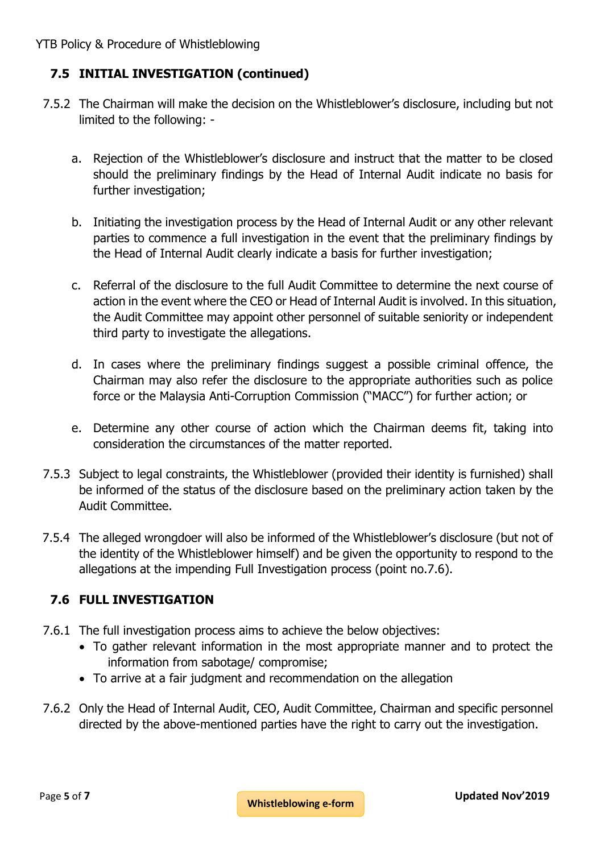# **7.5 INITIAL INVESTIGATION (continued)**

- 7.5.2 The Chairman will make the decision on the Whistleblower's disclosure, including but not limited to the following:
	- a. Rejection of the Whistleblower's disclosure and instruct that the matter to be closed should the preliminary findings by the Head of Internal Audit indicate no basis for further investigation;
	- b. Initiating the investigation process by the Head of Internal Audit or any other relevant parties to commence a full investigation in the event that the preliminary findings by the Head of Internal Audit clearly indicate a basis for further investigation;
	- c. Referral of the disclosure to the full Audit Committee to determine the next course of action in the event where the CEO or Head of Internal Audit is involved. In this situation, the Audit Committee may appoint other personnel of suitable seniority or independent third party to investigate the allegations.
	- d. In cases where the preliminary findings suggest a possible criminal offence, the Chairman may also refer the disclosure to the appropriate authorities such as police force or the Malaysia Anti-Corruption Commission ("MACC") for further action; or
	- e. Determine any other course of action which the Chairman deems fit, taking into consideration the circumstances of the matter reported.
- 7.5.3 Subject to legal constraints, the Whistleblower (provided their identity is furnished) shall be informed of the status of the disclosure based on the preliminary action taken by the Audit Committee.
- 7.5.4 The alleged wrongdoer will also be informed of the Whistleblower's disclosure (but not of the identity of the Whistleblower himself) and be given the opportunity to respond to the allegations at the impending Full Investigation process (point no.7.6).

# **7.6 FULL INVESTIGATION**

- 7.6.1 The full investigation process aims to achieve the below objectives:
	- To gather relevant information in the most appropriate manner and to protect the information from sabotage/ compromise;
	- To arrive at a fair judgment and recommendation on the allegation
- 7.6.2 Only the Head of Internal Audit, CEO, Audit Committee, Chairman and specific personnel directed by the above-mentioned parties have the right to carry out the investigation.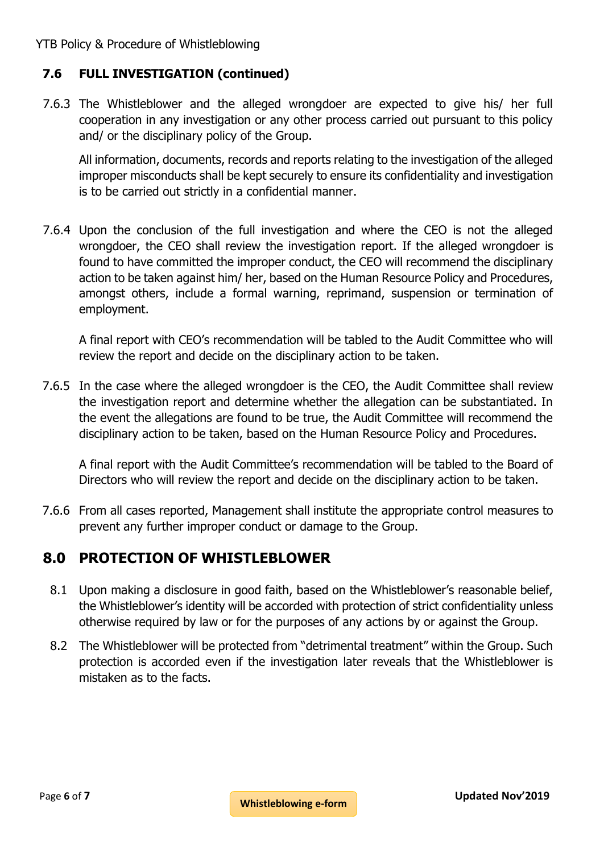## **7.6 FULL INVESTIGATION (continued)**

7.6.3 The Whistleblower and the alleged wrongdoer are expected to give his/ her full cooperation in any investigation or any other process carried out pursuant to this policy and/ or the disciplinary policy of the Group.

All information, documents, records and reports relating to the investigation of the alleged improper misconducts shall be kept securely to ensure its confidentiality and investigation is to be carried out strictly in a confidential manner.

7.6.4 Upon the conclusion of the full investigation and where the CEO is not the alleged wrongdoer, the CEO shall review the investigation report. If the alleged wrongdoer is found to have committed the improper conduct, the CEO will recommend the disciplinary action to be taken against him/ her, based on the Human Resource Policy and Procedures, amongst others, include a formal warning, reprimand, suspension or termination of employment.

A final report with CEO's recommendation will be tabled to the Audit Committee who will review the report and decide on the disciplinary action to be taken.

7.6.5 In the case where the alleged wrongdoer is the CEO, the Audit Committee shall review the investigation report and determine whether the allegation can be substantiated. In the event the allegations are found to be true, the Audit Committee will recommend the disciplinary action to be taken, based on the Human Resource Policy and Procedures.

A final report with the Audit Committee's recommendation will be tabled to the Board of Directors who will review the report and decide on the disciplinary action to be taken.

7.6.6 From all cases reported, Management shall institute the appropriate control measures to prevent any further improper conduct or damage to the Group.

# **8.0 PROTECTION OF WHISTLEBLOWER**

- 8.1 Upon making a disclosure in good faith, based on the Whistleblower's reasonable belief, the Whistleblower's identity will be accorded with protection of strict confidentiality unless otherwise required by law or for the purposes of any actions by or against the Group.
- 8.2 The Whistleblower will be protected from "detrimental treatment" within the Group. Such protection is accorded even if the investigation later reveals that the Whistleblower is mistaken as to the facts.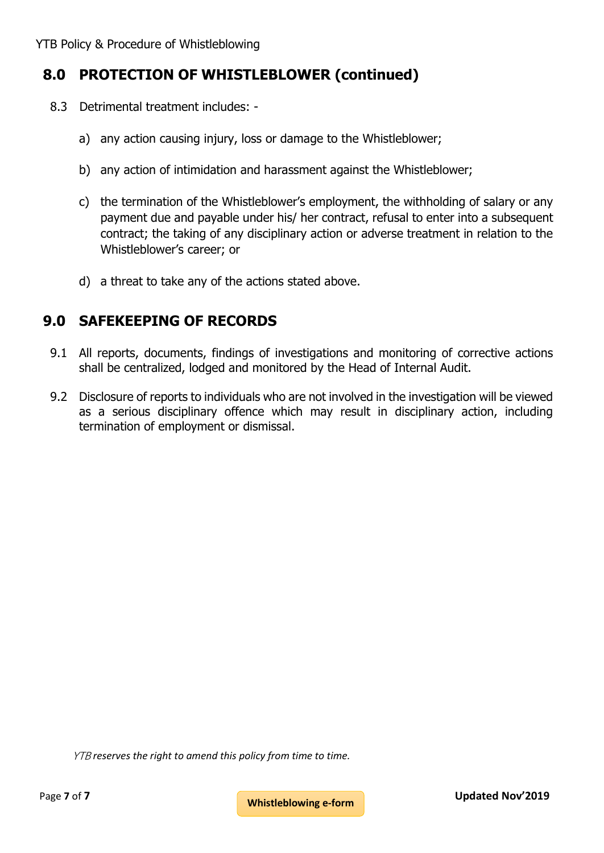# **8.0 PROTECTION OF WHISTLEBLOWER (continued)**

- 8.3 Detrimental treatment includes:
	- a) any action causing injury, loss or damage to the Whistleblower;
	- b) any action of intimidation and harassment against the Whistleblower;
	- c) the termination of the Whistleblower's employment, the withholding of salary or any payment due and payable under his/ her contract, refusal to enter into a subsequent contract; the taking of any disciplinary action or adverse treatment in relation to the Whistleblower's career; or
	- d) a threat to take any of the actions stated above.

# **9.0 SAFEKEEPING OF RECORDS**

- 9.1 All reports, documents, findings of investigations and monitoring of corrective actions shall be centralized, lodged and monitored by the Head of Internal Audit.
- 9.2 Disclosure of reports to individuals who are not involved in the investigation will be viewed as a serious disciplinary offence which may result in disciplinary action, including termination of employment or dismissal.

YTB *reserves the right to amend this policy from time to time.*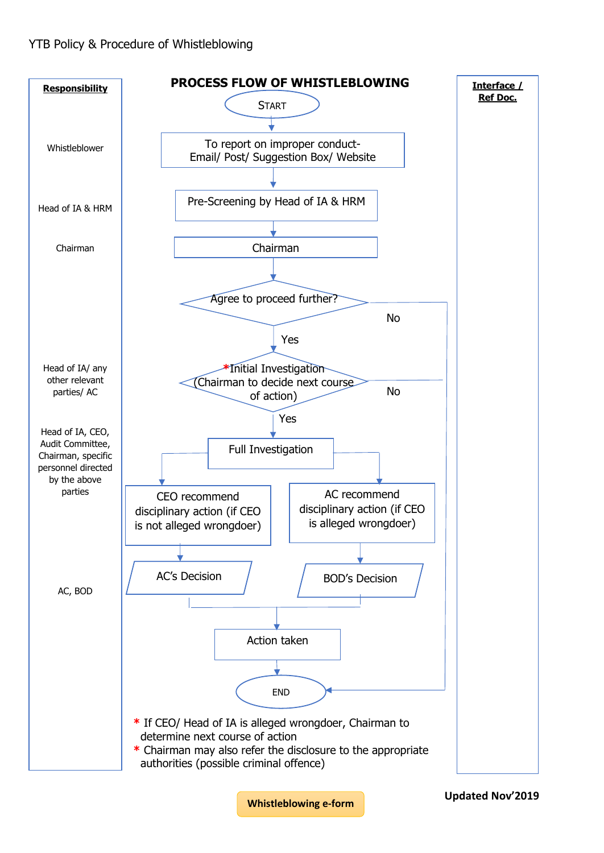

**[Whistleblowing e-form](http://www.yongtai.com.my/whistleblowing/)**

**Updated Nov'2019**